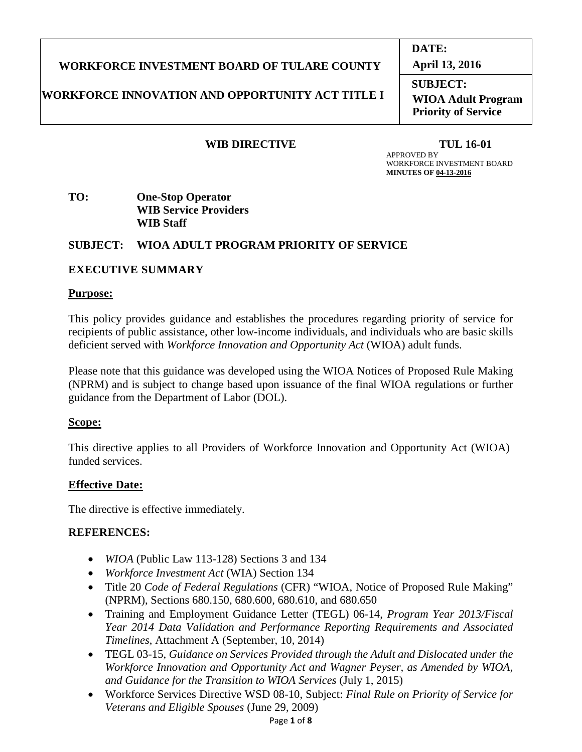# **WORKFORCE INVESTMENT BOARD OF TULARE COUNTY**

# **WORKFORCE INNOVATION AND OPPORTUNITY ACT TITLE I**

## WIB DIRECTIVE TUL 16-01

**DATE:**

**April 13, 2016**

**SUBJECT: WIOA Adult Program Priority of Service**

 APPROVED BY WORKFORCE INVESTMENT BOARD  **MINUTES OF 04-13-2016**

## **TO: One-Stop Operator WIB Service Providers WIB Staff**

# **SUBJECT: WIOA ADULT PROGRAM PRIORITY OF SERVICE**

## **EXECUTIVE SUMMARY**

#### **Purpose:**

This policy provides guidance and establishes the procedures regarding priority of service for recipients of public assistance, other low-income individuals, and individuals who are basic skills deficient served with *Workforce Innovation and Opportunity Act* (WIOA) adult funds.

Please note that this guidance was developed using the WIOA Notices of Proposed Rule Making (NPRM) and is subject to change based upon issuance of the final WIOA regulations or further guidance from the Department of Labor (DOL).

## **Scope:**

This directive applies to all Providers of Workforce Innovation and Opportunity Act (WIOA) funded services.

## **Effective Date:**

The directive is effective immediately.

## **REFERENCES:**

- *WIOA* (Public Law 113-128) Sections 3 and 134
- *Workforce Investment Act* (WIA) Section 134
- Title 20 *Code of Federal Regulations* (CFR) "WIOA, Notice of Proposed Rule Making" (NPRM), Sections 680.150, 680.600, 680.610, and 680.650
- Training and Employment Guidance Letter (TEGL) 06-14, *Program Year 2013/Fiscal Year 2014 Data Validation and Performance Reporting Requirements and Associated Timelines*, Attachment A (September, 10, 2014)
- TEGL 03-15, *Guidance on Services Provided through the Adult and Dislocated under the Workforce Innovation and Opportunity Act and Wagner Peyser, as Amended by WIOA, and Guidance for the Transition to WIOA Services* (July 1, 2015)
- Workforce Services Directive WSD 08-10, Subject: *Final Rule on Priority of Service for Veterans and Eligible Spouses* (June 29, 2009)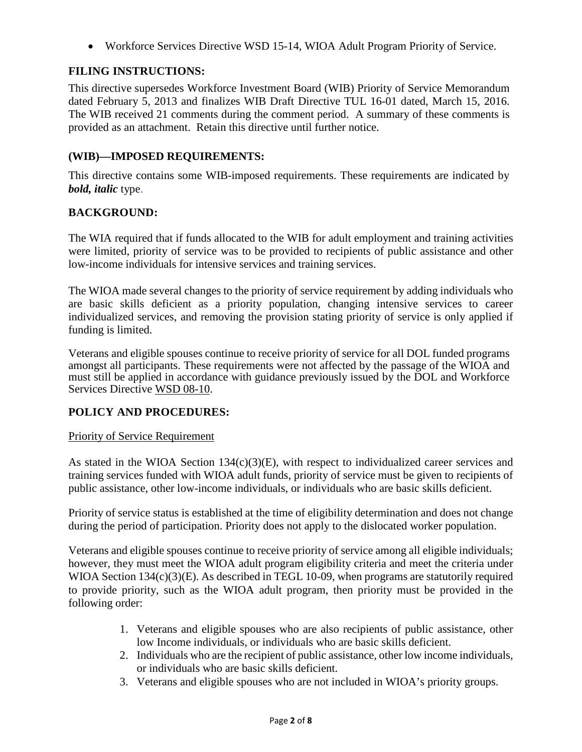• Workforce Services Directive WSD 15-14, WIOA Adult Program Priority of Service.

# **FILING INSTRUCTIONS:**

This directive supersedes Workforce Investment Board (WIB) Priority of Service Memorandum dated February 5, 2013 and finalizes WIB Draft Directive TUL 16-01 dated, March 15, 2016. The WIB received 21 comments during the comment period. A summary of these comments is provided as an attachment. Retain this directive until further notice.

# **(WIB)—IMPOSED REQUIREMENTS:**

This directive contains some WIB-imposed requirements. These requirements are indicated by *bold, italic* type.

## **BACKGROUND:**

The WIA required that if funds allocated to the WIB for adult employment and training activities were limited, priority of service was to be provided to recipients of public assistance and other low-income individuals for intensive services and training services.

The WIOA made several changes to the priority of service requirement by adding individuals who are basic skills deficient as a priority population, changing intensive services to career individualized services, and removing the provision stating priority of service is only applied if funding is limited.

Veterans and eligible spouses continue to receive priority of service for all DOL funded programs amongst all participants. These requirements were not affected by the passage of the WIOA and must still be applied in accordance with guidance previously issued by the DOL and Workforce Services Directive WSD 08-10.

#### **POLICY AND PROCEDURES:**

#### Priority of Service Requirement

As stated in the WIOA Section 134(c)(3)(E), with respect to individualized career services and training services funded with WIOA adult funds, priority of service must be given to recipients of public assistance, other low-income individuals, or individuals who are basic skills deficient.

Priority of service status is established at the time of eligibility determination and does not change during the period of participation. Priority does not apply to the dislocated worker population.

Veterans and eligible spouses continue to receive priority of service among all eligible individuals; however, they must meet the WIOA adult program eligibility criteria and meet the criteria under WIOA Section 134(c)(3)(E). As described in TEGL 10-09, when programs are statutorily required to provide priority, such as the WIOA adult program, then priority must be provided in the following order:

- 1. Veterans and eligible spouses who are also recipients of public assistance, other low Income individuals, or individuals who are basic skills deficient.
- 2. Individuals who are the recipient of public assistance, other low income individuals, or individuals who are basic skills deficient.
- 3. Veterans and eligible spouses who are not included in WIOA's priority groups.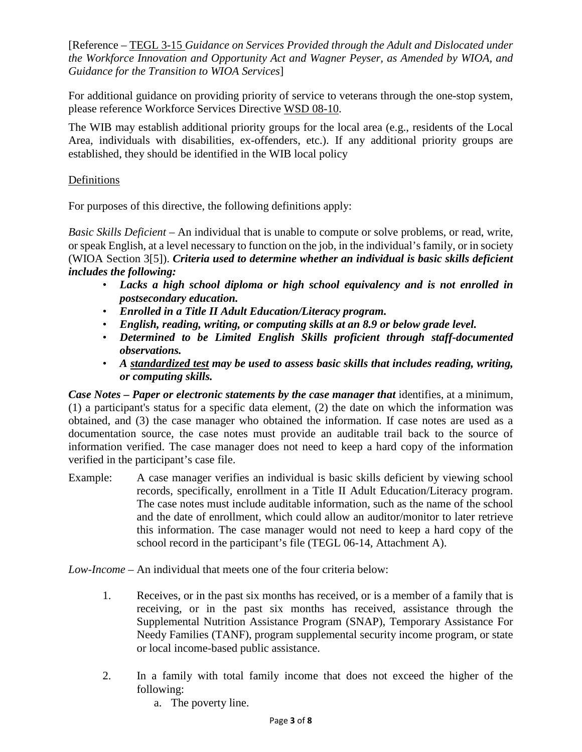[Reference – TEGL 3-15 *Guidance on Services Provided through the Adult and Dislocated under the Workforce Innovation and Opportunity Act and Wagner Peyser, as Amended by WIOA, and Guidance for the Transition to WIOA Services*]

For additional guidance on providing priority of service to veterans through the one-stop system, please reference Workforce Services Directive WSD 08-10.

The WIB may establish additional priority groups for the local area (e.g., residents of the Local Area, individuals with disabilities, ex-offenders, etc.). If any additional priority groups are established, they should be identified in the WIB local policy

## Definitions

For purposes of this directive, the following definitions apply:

*Basic Skills Deficient* – An individual that is unable to compute or solve problems, or read, write, or speak English, at a level necessary to function on the job, in the individual's family, or in society (WIOA Section 3[5]). *Criteria used to determine whether an individual is basic skills deficient includes the following:* 

- *Lacks a high school diploma or high school equivalency and is not enrolled in postsecondary education.*
- *Enrolled in a Title II Adult Education/Literacy program.*
- *English, reading, writing, or computing skills at an 8.9 or below grade level.*
- *Determined to be Limited English Skills proficient through staff-documented observations.*
- *A standardized test may be used to assess basic skills that includes reading, writing, or computing skills.*

*Case Notes – Paper or electronic statements by the case manager that* identifies, at a minimum, (1) a participant's status for a specific data element, (2) the date on which the information was obtained, and (3) the case manager who obtained the information. If case notes are used as a documentation source, the case notes must provide an auditable trail back to the source of information verified. The case manager does not need to keep a hard copy of the information verified in the participant's case file.

Example: A case manager verifies an individual is basic skills deficient by viewing school records, specifically, enrollment in a Title II Adult Education/Literacy program. The case notes must include auditable information, such as the name of the school and the date of enrollment, which could allow an auditor/monitor to later retrieve this information. The case manager would not need to keep a hard copy of the school record in the participant's file (TEGL 06-14, Attachment A).

*Low-Income* – An individual that meets one of the four criteria below:

- 1. Receives, or in the past six months has received, or is a member of a family that is receiving, or in the past six months has received, assistance through the Supplemental Nutrition Assistance Program (SNAP), Temporary Assistance For Needy Families (TANF), program supplemental security income program, or state or local income-based public assistance.
- 2. In a family with total family income that does not exceed the higher of the following:
	- a. The poverty line.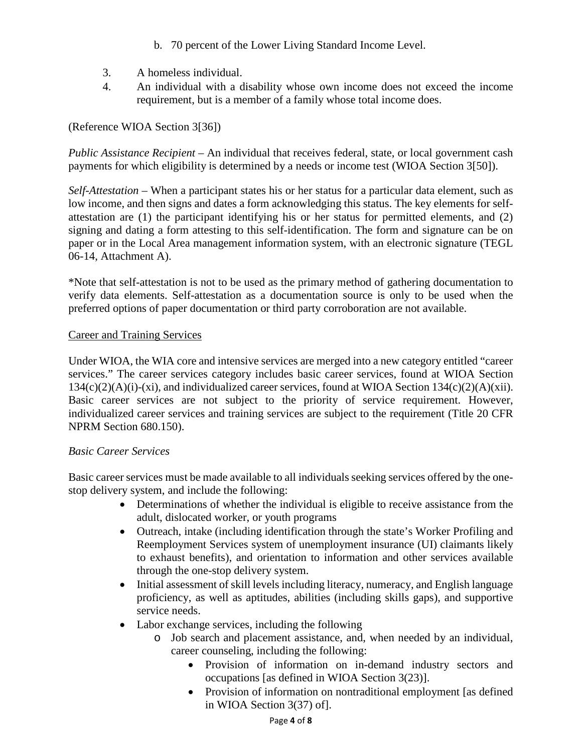- b. 70 percent of the Lower Living Standard Income Level.
- 3. A homeless individual.
- 4. An individual with a disability whose own income does not exceed the income requirement, but is a member of a family whose total income does.

# (Reference WIOA Section 3[36])

*Public Assistance Recipient* – An individual that receives federal, state, or local government cash payments for which eligibility is determined by a needs or income test (WIOA Section 3[50]).

*Self-Attestation –* When a participant states his or her status for a particular data element, such as low income, and then signs and dates a form acknowledging this status. The key elements for selfattestation are (1) the participant identifying his or her status for permitted elements, and (2) signing and dating a form attesting to this self-identification. The form and signature can be on paper or in the Local Area management information system, with an electronic signature (TEGL 06-14, Attachment A).

\*Note that self-attestation is not to be used as the primary method of gathering documentation to verify data elements. Self-attestation as a documentation source is only to be used when the preferred options of paper documentation or third party corroboration are not available.

## Career and Training Services

Under WIOA, the WIA core and intensive services are merged into a new category entitled "career services." The career services category includes basic career services, found at WIOA Section  $134(c)(2)(A)(i)-(xi)$ , and individualized career services, found at WIOA Section  $134(c)(2)(A)(xii)$ . Basic career services are not subject to the priority of service requirement. However, individualized career services and training services are subject to the requirement (Title 20 CFR NPRM Section 680.150).

## *Basic Career Services*

Basic career services must be made available to all individuals seeking services offered by the onestop delivery system, and include the following:

- Determinations of whether the individual is eligible to receive assistance from the adult, dislocated worker, or youth programs
- Outreach, intake (including identification through the state's Worker Profiling and Reemployment Services system of unemployment insurance (UI) claimants likely to exhaust benefits), and orientation to information and other services available through the one-stop delivery system.
- Initial assessment of skill levels including literacy, numeracy, and English language proficiency, as well as aptitudes, abilities (including skills gaps), and supportive service needs.
- Labor exchange services, including the following
	- o Job search and placement assistance, and, when needed by an individual, career counseling, including the following:
		- Provision of information on in-demand industry sectors and occupations [as defined in WIOA Section 3(23)].
		- Provision of information on nontraditional employment [as defined] in WIOA Section 3(37) of].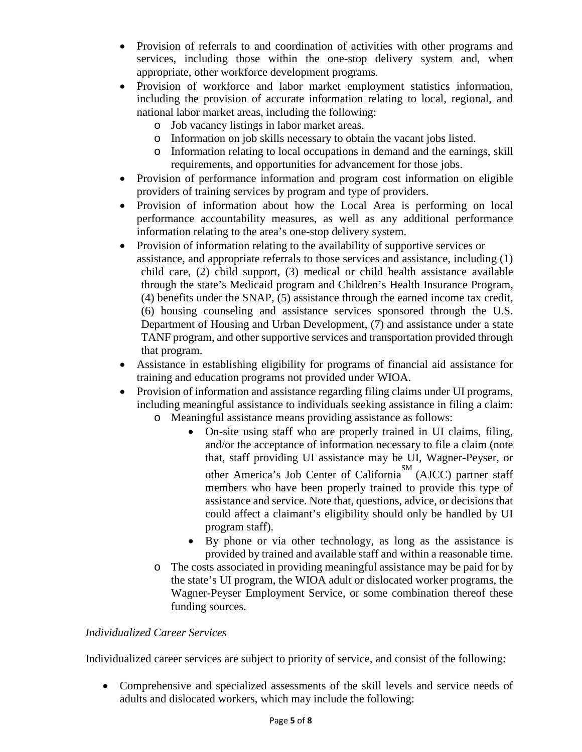- Provision of referrals to and coordination of activities with other programs and services, including those within the one-stop delivery system and, when appropriate, other workforce development programs.
- Provision of workforce and labor market employment statistics information, including the provision of accurate information relating to local, regional, and national labor market areas, including the following:
	- o Job vacancy listings in labor market areas.
	- o Information on job skills necessary to obtain the vacant jobs listed.
	- o Information relating to local occupations in demand and the earnings, skill requirements, and opportunities for advancement for those jobs.
- Provision of performance information and program cost information on eligible providers of training services by program and type of providers.
- Provision of information about how the Local Area is performing on local performance accountability measures, as well as any additional performance information relating to the area's one-stop delivery system.
- Provision of information relating to the availability of supportive services or assistance, and appropriate referrals to those services and assistance, including (1) child care, (2) child support, (3) medical or child health assistance available through the state's Medicaid program and Children's Health Insurance Program, (4) benefits under the SNAP, (5) assistance through the earned income tax credit, (6) housing counseling and assistance services sponsored through the U.S. Department of Housing and Urban Development, (7) and assistance under a state TANF program, and other supportive services and transportation provided through that program.
- Assistance in establishing eligibility for programs of financial aid assistance for training and education programs not provided under WIOA.
- Provision of information and assistance regarding filing claims under UI programs, including meaningful assistance to individuals seeking assistance in filing a claim:
	- o Meaningful assistance means providing assistance as follows:
		- On-site using staff who are properly trained in UI claims, filing, and/or the acceptance of information necessary to file a claim (note that, staff providing UI assistance may be UI, Wagner-Peyser, or other America's Job Center of California<sup>SM</sup> (AJCC) partner staff members who have been properly trained to provide this type of assistance and service. Note that, questions, advice, or decisions that could affect a claimant's eligibility should only be handled by UI program staff).
		- By phone or via other technology, as long as the assistance is provided by trained and available staff and within a reasonable time.
	- o The costs associated in providing meaningful assistance may be paid for by the state's UI program, the WIOA adult or dislocated worker programs, the Wagner-Peyser Employment Service, or some combination thereof these funding sources.

## *Individualized Career Services*

Individualized career services are subject to priority of service, and consist of the following:

• Comprehensive and specialized assessments of the skill levels and service needs of adults and dislocated workers, which may include the following: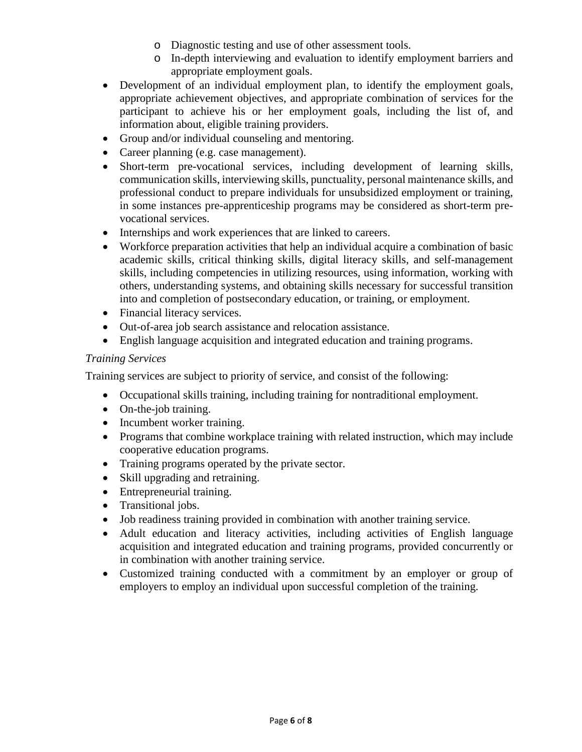- o Diagnostic testing and use of other assessment tools.
- o In-depth interviewing and evaluation to identify employment barriers and appropriate employment goals.
- Development of an individual employment plan, to identify the employment goals, appropriate achievement objectives, and appropriate combination of services for the participant to achieve his or her employment goals, including the list of, and information about, eligible training providers.
- Group and/or individual counseling and mentoring.
- Career planning (e.g. case management).
- Short-term pre-vocational services, including development of learning skills, communication skills, interviewing skills, punctuality, personal maintenance skills, and professional conduct to prepare individuals for unsubsidized employment or training, in some instances pre-apprenticeship programs may be considered as short-term prevocational services.
- Internships and work experiences that are linked to careers.
- Workforce preparation activities that help an individual acquire a combination of basic academic skills, critical thinking skills, digital literacy skills, and self-management skills, including competencies in utilizing resources, using information, working with others, understanding systems, and obtaining skills necessary for successful transition into and completion of postsecondary education, or training, or employment.
- Financial literacy services.
- Out-of-area job search assistance and relocation assistance.
- English language acquisition and integrated education and training programs.

## *Training Services*

Training services are subject to priority of service, and consist of the following:

- Occupational skills training, including training for nontraditional employment.
- On-the-job training.
- Incumbent worker training.
- Programs that combine workplace training with related instruction, which may include cooperative education programs.
- Training programs operated by the private sector.
- Skill upgrading and retraining.
- Entrepreneurial training.
- Transitional jobs.
- Job readiness training provided in combination with another training service.
- Adult education and literacy activities, including activities of English language acquisition and integrated education and training programs, provided concurrently or in combination with another training service.
- Customized training conducted with a commitment by an employer or group of employers to employ an individual upon successful completion of the training.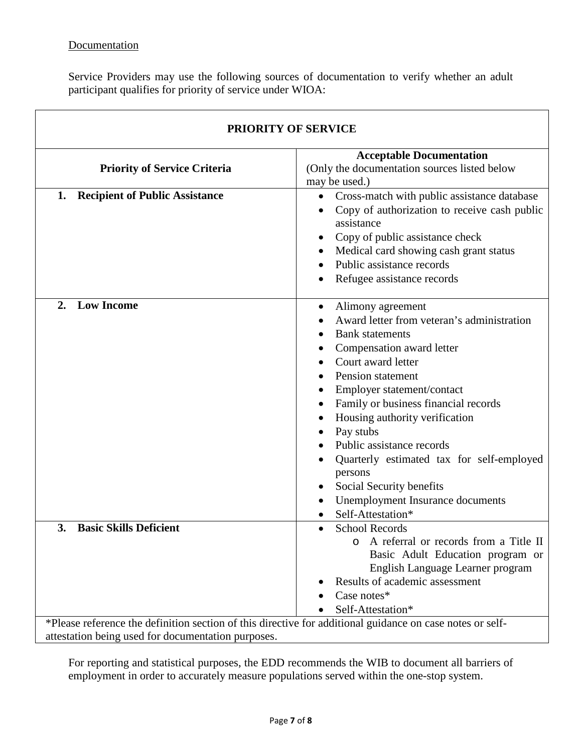# **Documentation**

Service Providers may use the following sources of documentation to verify whether an adult participant qualifies for priority of service under WIOA:

| <b>PRIORITY OF SERVICE</b>                  |                                                                                                                                                                                                                                                                                                                                                                                                                                                                            |
|---------------------------------------------|----------------------------------------------------------------------------------------------------------------------------------------------------------------------------------------------------------------------------------------------------------------------------------------------------------------------------------------------------------------------------------------------------------------------------------------------------------------------------|
| <b>Priority of Service Criteria</b>         | <b>Acceptable Documentation</b><br>(Only the documentation sources listed below<br>may be used.)                                                                                                                                                                                                                                                                                                                                                                           |
| <b>Recipient of Public Assistance</b><br>1. | Cross-match with public assistance database<br>٠<br>Copy of authorization to receive cash public<br>assistance<br>Copy of public assistance check<br>٠<br>Medical card showing cash grant status<br>Public assistance records<br>Refugee assistance records                                                                                                                                                                                                                |
| <b>Low Income</b><br>2.                     | Alimony agreement<br>٠<br>Award letter from veteran's administration<br><b>Bank</b> statements<br>Compensation award letter<br>Court award letter<br>Pension statement<br>Employer statement/contact<br>Family or business financial records<br>Housing authority verification<br>Pay stubs<br>Public assistance records<br>Quarterly estimated tax for self-employed<br>persons<br>Social Security benefits<br>٠<br>Unemployment Insurance documents<br>Self-Attestation* |
| <b>Basic Skills Deficient</b><br>3.         | <b>School Records</b><br>$\bullet$<br>A referral or records from a Title II<br>Basic Adult Education program or<br>English Language Learner program<br>Results of academic assessment<br>Case notes*<br>Self-Attestation*<br>*Please reference the definition section of this directive for additional guidance on case notes or self-                                                                                                                                     |

attestation being used for documentation purposes.

For reporting and statistical purposes, the EDD recommends the WIB to document all barriers of employment in order to accurately measure populations served within the one-stop system.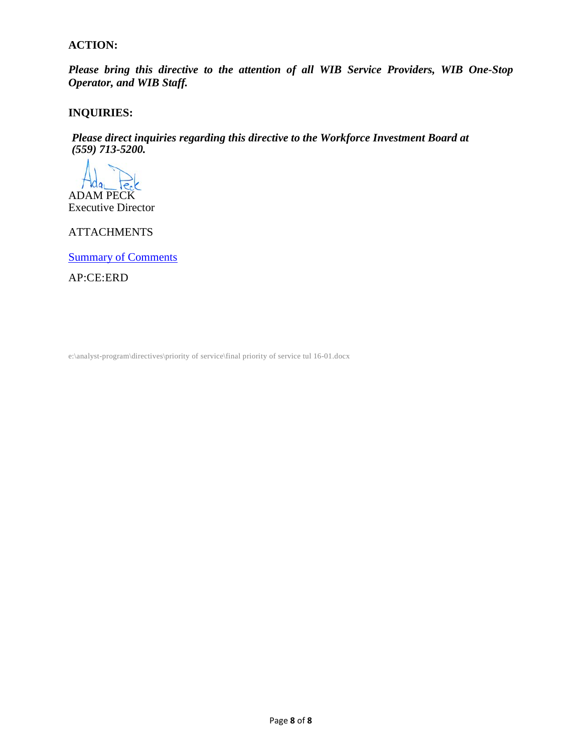### **ACTION:**

*Please bring this directive to the attention of all WIB Service Providers, WIB One-Stop Operator, and WIB Staff.*

## **INQUIRIES:**

*Please direct inquiries regarding this directive to the Workforce Investment Board at (559) 713-5200.*

ADAM PECK Executive Director

ATTACHMENTS

Summary of Comments

AP:CE:ERD

e:\analyst-program\directives\priority of service\final priority of service tul 16-01.docx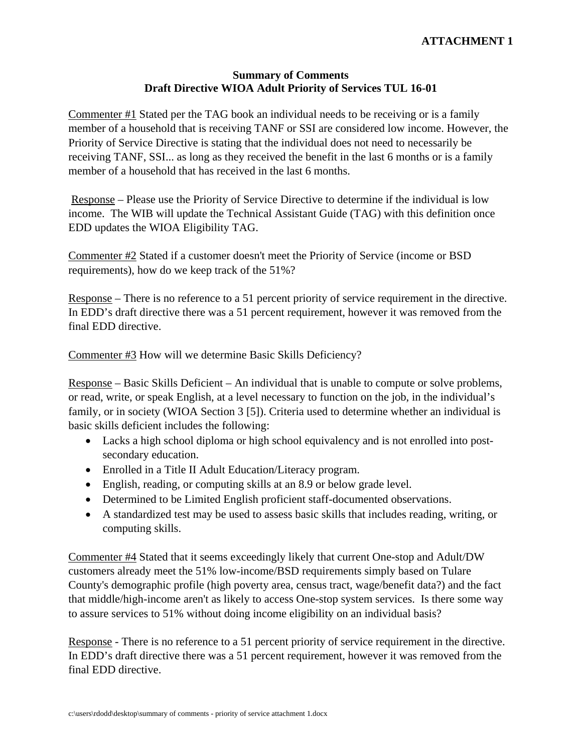# **ATTACHMENT 1**

#### **Summary of Comments Draft Directive WIOA Adult Priority of Services TUL 16-01**

Commenter #1 Stated per the TAG book an individual needs to be receiving or is a family member of a household that is receiving TANF or SSI are considered low income. However, the Priority of Service Directive is stating that the individual does not need to necessarily be receiving TANF, SSI... as long as they received the benefit in the last 6 months or is a family member of a household that has received in the last 6 months.

 Response – Please use the Priority of Service Directive to determine if the individual is low income. The WIB will update the Technical Assistant Guide (TAG) with this definition once EDD updates the WIOA Eligibility TAG.

Commenter #2 Stated if a customer doesn't meet the Priority of Service (income or BSD requirements), how do we keep track of the 51%?

Response – There is no reference to a 51 percent priority of service requirement in the directive. In EDD's draft directive there was a 51 percent requirement, however it was removed from the final EDD directive.

Commenter #3 How will we determine Basic Skills Deficiency?

Response – Basic Skills Deficient – An individual that is unable to compute or solve problems, or read, write, or speak English, at a level necessary to function on the job, in the individual's family, or in society (WIOA Section 3 [5]). Criteria used to determine whether an individual is basic skills deficient includes the following:

- Lacks a high school diploma or high school equivalency and is not enrolled into postsecondary education.
- Enrolled in a Title II Adult Education/Literacy program.
- English, reading, or computing skills at an 8.9 or below grade level.
- Determined to be Limited English proficient staff-documented observations.
- A standardized test may be used to assess basic skills that includes reading, writing, or computing skills.

Commenter #4 Stated that it seems exceedingly likely that current One-stop and Adult/DW customers already meet the 51% low-income/BSD requirements simply based on Tulare County's demographic profile (high poverty area, census tract, wage/benefit data?) and the fact that middle/high-income aren't as likely to access One-stop system services. Is there some way to assure services to 51% without doing income eligibility on an individual basis?

Response - There is no reference to a 51 percent priority of service requirement in the directive. In EDD's draft directive there was a 51 percent requirement, however it was removed from the final EDD directive.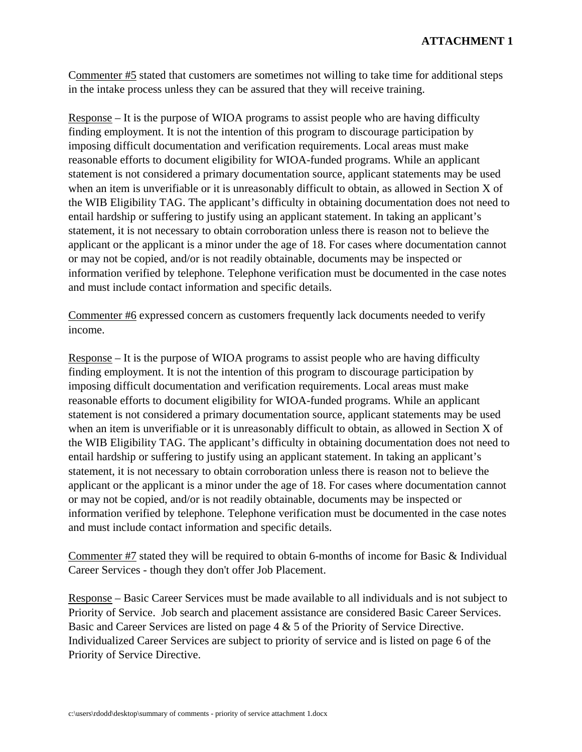Commenter #5 stated that customers are sometimes not willing to take time for additional steps in the intake process unless they can be assured that they will receive training.

Response – It is the purpose of WIOA programs to assist people who are having difficulty finding employment. It is not the intention of this program to discourage participation by imposing difficult documentation and verification requirements. Local areas must make reasonable efforts to document eligibility for WIOA-funded programs. While an applicant statement is not considered a primary documentation source, applicant statements may be used when an item is unverifiable or it is unreasonably difficult to obtain, as allowed in Section X of the WIB Eligibility TAG. The applicant's difficulty in obtaining documentation does not need to entail hardship or suffering to justify using an applicant statement. In taking an applicant's statement, it is not necessary to obtain corroboration unless there is reason not to believe the applicant or the applicant is a minor under the age of 18. For cases where documentation cannot or may not be copied, and/or is not readily obtainable, documents may be inspected or information verified by telephone. Telephone verification must be documented in the case notes and must include contact information and specific details.

Commenter #6 expressed concern as customers frequently lack documents needed to verify income.

Response – It is the purpose of WIOA programs to assist people who are having difficulty finding employment. It is not the intention of this program to discourage participation by imposing difficult documentation and verification requirements. Local areas must make reasonable efforts to document eligibility for WIOA-funded programs. While an applicant statement is not considered a primary documentation source, applicant statements may be used when an item is unverifiable or it is unreasonably difficult to obtain, as allowed in Section X of the WIB Eligibility TAG. The applicant's difficulty in obtaining documentation does not need to entail hardship or suffering to justify using an applicant statement. In taking an applicant's statement, it is not necessary to obtain corroboration unless there is reason not to believe the applicant or the applicant is a minor under the age of 18. For cases where documentation cannot or may not be copied, and/or is not readily obtainable, documents may be inspected or information verified by telephone. Telephone verification must be documented in the case notes and must include contact information and specific details.

Commenter #7 stated they will be required to obtain 6-months of income for Basic & Individual Career Services - though they don't offer Job Placement.

Response – Basic Career Services must be made available to all individuals and is not subject to Priority of Service. Job search and placement assistance are considered Basic Career Services. Basic and Career Services are listed on page 4 & 5 of the Priority of Service Directive. Individualized Career Services are subject to priority of service and is listed on page 6 of the Priority of Service Directive.